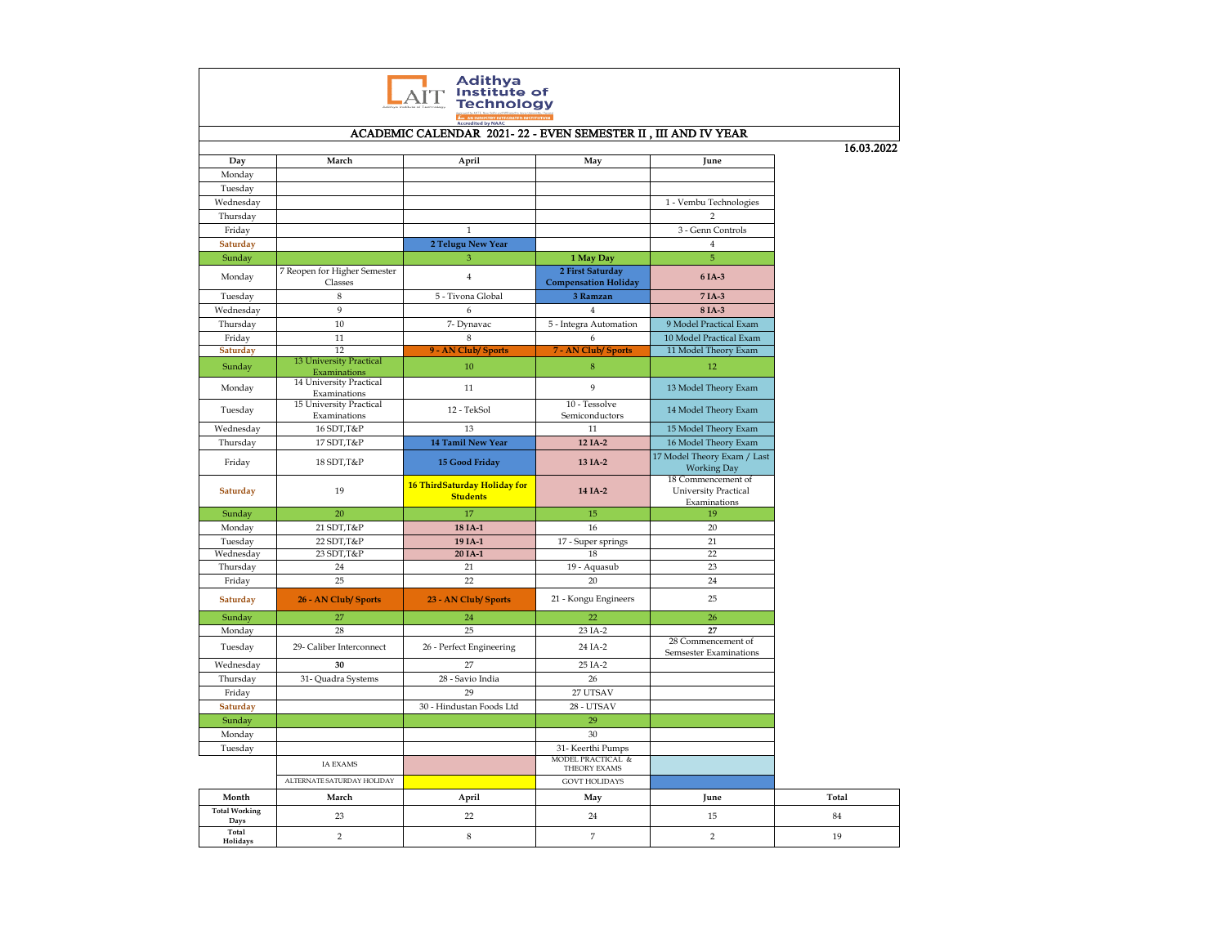| Adithya<br>tute of<br>hnology |                                                |                                                               |                                                 |                                                                   |       |  |  |  |  |
|-------------------------------|------------------------------------------------|---------------------------------------------------------------|-------------------------------------------------|-------------------------------------------------------------------|-------|--|--|--|--|
|                               |                                                | ACADEMIC CALENDAR 2021-22 - EVEN SEMESTER II, III AND IV YEAR |                                                 |                                                                   |       |  |  |  |  |
|                               |                                                |                                                               |                                                 |                                                                   |       |  |  |  |  |
| Day                           | March                                          | April                                                         | May                                             | June                                                              |       |  |  |  |  |
| Monday                        |                                                |                                                               |                                                 |                                                                   |       |  |  |  |  |
| Tuesday                       |                                                |                                                               |                                                 |                                                                   |       |  |  |  |  |
| Wednesday                     |                                                |                                                               |                                                 | 1 - Vembu Technologies                                            |       |  |  |  |  |
| Thursday                      |                                                |                                                               |                                                 | $\overline{2}$                                                    |       |  |  |  |  |
| Friday                        |                                                | $\mathbf{1}$                                                  |                                                 | 3 - Genn Controls                                                 |       |  |  |  |  |
| Saturday                      |                                                | 2 Telugu New Year                                             |                                                 | $\overline{4}$                                                    |       |  |  |  |  |
| Sunday                        |                                                | 3                                                             | 1 May Day                                       | $\sqrt{5}$                                                        |       |  |  |  |  |
| Monday                        | 7 Reopen for Higher Semester<br>Classes        | $\overline{4}$                                                | 2 First Saturday<br><b>Compensation Holiday</b> | 6 IA-3                                                            |       |  |  |  |  |
| Tuesday                       | $\,$ 8 $\,$                                    | 5 - Tivona Global                                             | 3 Ramzan                                        | 7 IA-3                                                            |       |  |  |  |  |
| Wednesday                     | 9                                              | 6                                                             | $\overline{4}$                                  | 8 IA-3                                                            |       |  |  |  |  |
| Thursday                      | 10                                             | 7- Dynavac                                                    | 5 - Integra Automation                          | 9 Model Practical Exam                                            |       |  |  |  |  |
| Friday                        | 11                                             | 8                                                             | 6                                               | 10 Model Practical Exam                                           |       |  |  |  |  |
| Saturday                      | 12                                             | 9 - AN Club/ Sports                                           | <b>7 - AN Club/ Sports</b>                      | 11 Model Theory Exam                                              |       |  |  |  |  |
| Sunday                        | <b>13 University Practical</b><br>Examinations | 10                                                            | $\,8\,$                                         | 12                                                                |       |  |  |  |  |
| Monday                        | 14 University Practical<br>Examinations        | 11                                                            | 9                                               | 13 Model Theory Exam                                              |       |  |  |  |  |
| Tuesday                       | 15 University Practical<br>Examinations        | 12 - TekSol                                                   | 10 - Tessolve<br>Semiconductors                 | 14 Model Theory Exam                                              |       |  |  |  |  |
| Wednesday                     | 16 SDT, T&P                                    | 13                                                            | 11                                              | 15 Model Theory Exam                                              |       |  |  |  |  |
| Thursday                      | 17 SDT, T&P                                    | 14 Tamil New Year                                             | 12 IA-2                                         | 16 Model Theory Exam                                              |       |  |  |  |  |
| Friday                        | 18 SDT, T&P                                    | 15 Good Friday                                                | 13 IA-2                                         | 17 Model Theory Exam / Last<br><b>Working Day</b>                 |       |  |  |  |  |
| Saturday                      | 19                                             | 16 ThirdSaturday Holiday for<br><b>Students</b>               | 14 IA-2                                         | 18 Commencement of<br><b>University Practical</b><br>Examinations |       |  |  |  |  |
| Sunday                        | 20                                             | 17                                                            | 15                                              | 19                                                                |       |  |  |  |  |
| Monday                        | 21 SDT, T&P                                    | 18 IA-1                                                       | 16                                              | 20                                                                |       |  |  |  |  |
| Tuesday                       | 22 SDT, T&P                                    | 19 IA-1                                                       | 17 - Super springs                              | 21                                                                |       |  |  |  |  |
| Wednesday                     | 23 SDT, T&P                                    | 20 IA-1                                                       | 18                                              | 22                                                                |       |  |  |  |  |
| Thursday                      | 24                                             | 21                                                            | 19 - Aquasub                                    | 23                                                                |       |  |  |  |  |
| Friday                        | 25                                             | 22                                                            | 20                                              | 24                                                                |       |  |  |  |  |
| Saturday                      | 26 - AN Club/ Sports                           | 23 - AN Club/ Sports                                          | 21 - Kongu Engineers                            | 25                                                                |       |  |  |  |  |
| Sunday                        | 27                                             | $24\,$                                                        | 22                                              | 26                                                                |       |  |  |  |  |
| Monday                        | 28                                             | 25                                                            | 23 IA-2                                         | 27                                                                |       |  |  |  |  |
| Tuesday                       | 29- Caliber Interconnect                       | 26 - Perfect Engineering                                      | 24 IA-2                                         | 28 Commencement of<br>Semsester Examinations                      |       |  |  |  |  |
| Wednesday                     | 30                                             | 27                                                            | 25 IA-2                                         |                                                                   |       |  |  |  |  |
| Thursday                      | 31- Quadra Systems                             | 28 - Savio India                                              | 26                                              |                                                                   |       |  |  |  |  |
| Friday                        |                                                | 29                                                            | 27 UTSAV                                        |                                                                   |       |  |  |  |  |
| Saturday                      |                                                | 30 - Hindustan Foods Ltd                                      | 28 - UTSAV                                      |                                                                   |       |  |  |  |  |
| Sunday                        |                                                |                                                               | 29                                              |                                                                   |       |  |  |  |  |
| Monday                        |                                                |                                                               | 30                                              |                                                                   |       |  |  |  |  |
| Tuesday                       |                                                |                                                               | 31- Keerthi Pumps<br>MODEL PRACTICAL &          |                                                                   |       |  |  |  |  |
|                               | <b>IA EXAMS</b><br>ALTERNATE SATURDAY HOLIDAY  |                                                               | <b>THEORY EXAMS</b><br><b>GOVT HOLIDAYS</b>     |                                                                   |       |  |  |  |  |
|                               |                                                |                                                               |                                                 |                                                                   | Total |  |  |  |  |
| Month<br><b>Total Working</b> | March                                          | April                                                         | May                                             | June                                                              |       |  |  |  |  |
| Days                          | 23                                             | 22                                                            | 24                                              | 15                                                                | 84    |  |  |  |  |
| Total<br>Holidays             | $\overline{2}$                                 | $\,$ 8 $\,$                                                   | $\overline{7}$                                  | $\overline{2}$                                                    | 19    |  |  |  |  |